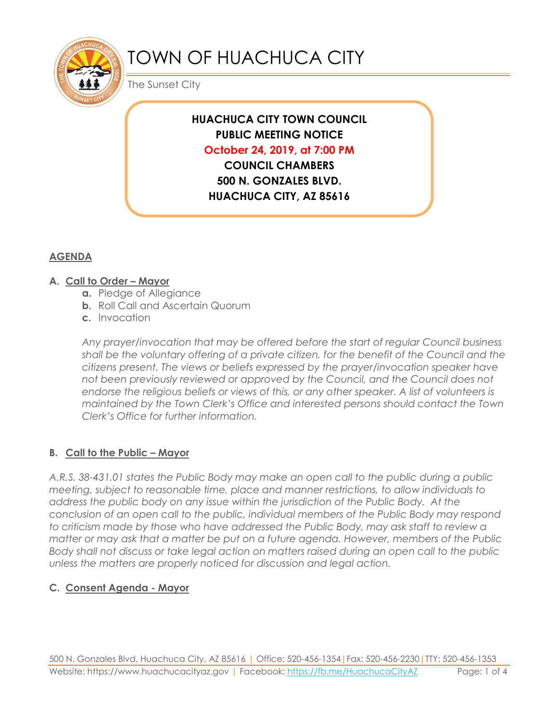

# TOWN OF HUACHUCA CITY

The Sunset City

# **HUACHUCA CITY TOWN COUNCIL PUBLIC MEETING NOTICE October 24, 2019, at 7:00 PM**

**COUNCIL CHAMBERS 500 N. GONZALES BLVD. HUACHUCA CITY, AZ 85616**

# **AGENDA**

#### **A. Call to Order – Mayor**

- **a.** Pledge of Allegiance
- **b.** Roll Call and Ascertain Quorum
- **c.** Invocation

*Any prayer/invocation that may be offered before the start of regular Council business shall be the voluntary offering of a private citizen, for the benefit of the Council and the citizens present. The views or beliefs expressed by the prayer/invocation speaker have not been previously reviewed or approved by the Council, and the Council does not endorse the religious beliefs or views of this, or any other speaker. A list of volunteers is maintained by the Town Clerk's Office and interested persons should contact the Town Clerk's Office for further information.*

# **B. Call to the Public – Mayor**

*A.R.S. 38-431.01 states the Public Body may make an open call to the public during a public meeting, subject to reasonable time, place and manner restrictions, to allow individuals to address the public body on any issue within the jurisdiction of the Public Body. At the conclusion of an open call to the public, individual members of the Public Body may respond to criticism made by those who have addressed the Public Body, may ask staff to review a matter or may ask that a matter be put on a future agenda. However, members of the Public Body shall not discuss or take legal action on matters raised during an open call to the public unless the matters are properly noticed for discussion and legal action.*

# **C. Consent Agenda - Mayor**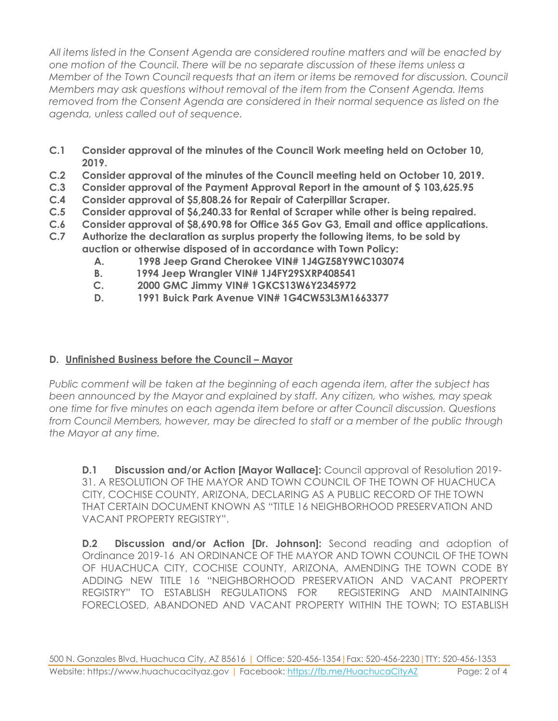*All items listed in the Consent Agenda are considered routine matters and will be enacted by one motion of the Council. There will be no separate discussion of these items unless a Member of the Town Council requests that an item or items be removed for discussion. Council Members may ask questions without removal of the item from the Consent Agenda. Items removed from the Consent Agenda are considered in their normal sequence as listed on the agenda, unless called out of sequence.*

- **C.1 Consider approval of the minutes of the Council Work meeting held on October 10, 2019.**
- **C.2 Consider approval of the minutes of the Council meeting held on October 10, 2019.**
- **C.3 Consider approval of the Payment Approval Report in the amount of \$ 103,625.95**
- **C.4 Consider approval of \$5,808.26 for Repair of Caterpillar Scraper.**
- **C.5 Consider approval of \$6,240.33 for Rental of Scraper while other is being repaired.**
- **C.6 Consider approval of \$8,690.98 for Office 365 Gov G3, Email and office applications.**
- **C.7 Authorize the declaration as surplus property the following items, to be sold by auction or otherwise disposed of in accordance with Town Policy:**
	- **A. 1998 Jeep Grand Cherokee VIN# 1J4GZ58Y9WC103074**
	- **B. 1994 Jeep Wrangler VIN# 1J4FY29SXRP408541**
	- **C. 2000 GMC Jimmy VIN# 1GKCS13W6Y2345972**
	- **D. 1991 Buick Park Avenue VIN# 1G4CW53L3M1663377**

#### **D. Unfinished Business before the Council – Mayor**

*Public comment will be taken at the beginning of each agenda item, after the subject has been announced by the Mayor and explained by staff. Any citizen, who wishes, may speak one time for five minutes on each agenda item before or after Council discussion. Questions from Council Members, however, may be directed to staff or a member of the public through the Mayor at any time.*

**D.1 Discussion and/or Action [Mayor Wallace]:** Council approval of Resolution 2019-31. A RESOLUTION OF THE MAYOR AND TOWN COUNCIL OF THE TOWN OF HUACHUCA CITY, COCHISE COUNTY, ARIZONA, DECLARING AS A PUBLIC RECORD OF THE TOWN THAT CERTAIN DOCUMENT KNOWN AS "TITLE 16 NEIGHBORHOOD PRESERVATION AND VACANT PROPERTY REGISTRY".

**D.2 Discussion and/or Action [Dr. Johnson]:** Second reading and adoption of Ordinance 2019-16 AN ORDINANCE OF THE MAYOR AND TOWN COUNCIL OF THE TOWN OF HUACHUCA CITY, COCHISE COUNTY, ARIZONA, AMENDING THE TOWN CODE BY ADDING NEW TITLE 16 "NEIGHBORHOOD PRESERVATION AND VACANT PROPERTY REGISTRY" TO ESTABLISH REGULATIONS FOR REGISTERING AND MAINTAINING FORECLOSED, ABANDONED AND VACANT PROPERTY WITHIN THE TOWN; TO ESTABLISH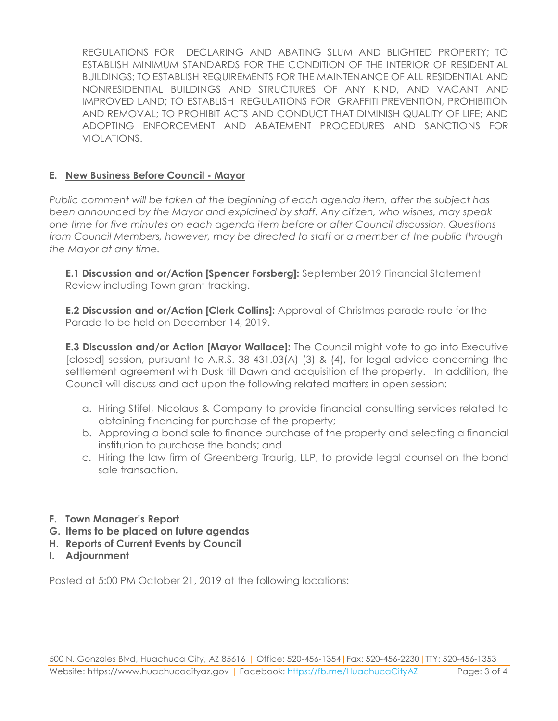REGULATIONS FOR DECLARING AND ABATING SLUM AND BLIGHTED PROPERTY; TO ESTABLISH MINIMUM STANDARDS FOR THE CONDITION OF THE INTERIOR OF RESIDENTIAL BUILDINGS; TO ESTABLISH REQUIREMENTS FOR THE MAINTENANCE OF ALL RESIDENTIAL AND NONRESIDENTIAL BUILDINGS AND STRUCTURES OF ANY KIND, AND VACANT AND IMPROVED LAND; TO ESTABLISH REGULATIONS FOR GRAFFITI PREVENTION, PROHIBITION AND REMOVAL; TO PROHIBIT ACTS AND CONDUCT THAT DIMINISH QUALITY OF LIFE; AND ADOPTING ENFORCEMENT AND ABATEMENT PROCEDURES AND SANCTIONS FOR VIOLATIONS.

#### **E. New Business Before Council - Mayor**

*Public comment will be taken at the beginning of each agenda item, after the subject has been announced by the Mayor and explained by staff. Any citizen, who wishes, may speak one time for five minutes on each agenda item before or after Council discussion. Questions from Council Members, however, may be directed to staff or a member of the public through the Mayor at any time.* 

**E.1 Discussion and or/Action [Spencer Forsberg]:** September 2019 Financial Statement Review including Town grant tracking.

**E.2 Discussion and or/Action [Clerk Collins]:** Approval of Christmas parade route for the Parade to be held on December 14, 2019.

**E.3 Discussion and/or Action [Mayor Wallace]:** The Council might vote to go into Executive [closed] session, pursuant to A.R.S. 38-431.03(A) (3) & (4), for legal advice concerning the settlement agreement with Dusk till Dawn and acquisition of the property. In addition, the Council will discuss and act upon the following related matters in open session:

- a. Hiring Stifel, Nicolaus & Company to provide financial consulting services related to obtaining financing for purchase of the property;
- b. Approving a bond sale to finance purchase of the property and selecting a financial institution to purchase the bonds; and
- c. Hiring the law firm of Greenberg Traurig, LLP, to provide legal counsel on the bond sale transaction.
- **F. Town Manager's Report**
- **G. Items to be placed on future agendas**
- **H. Reports of Current Events by Council**
- **I. Adjournment**

Posted at 5:00 PM October 21, 2019 at the following locations: